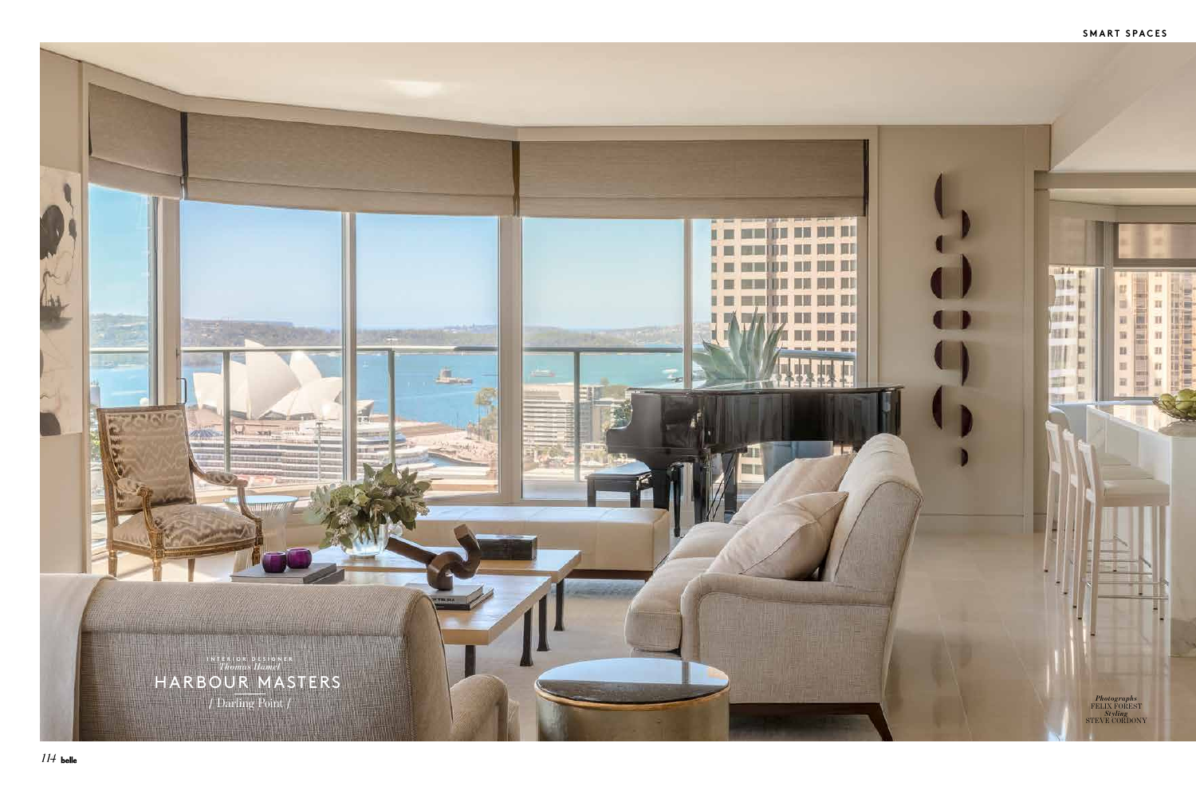

## **SMART SPACES**